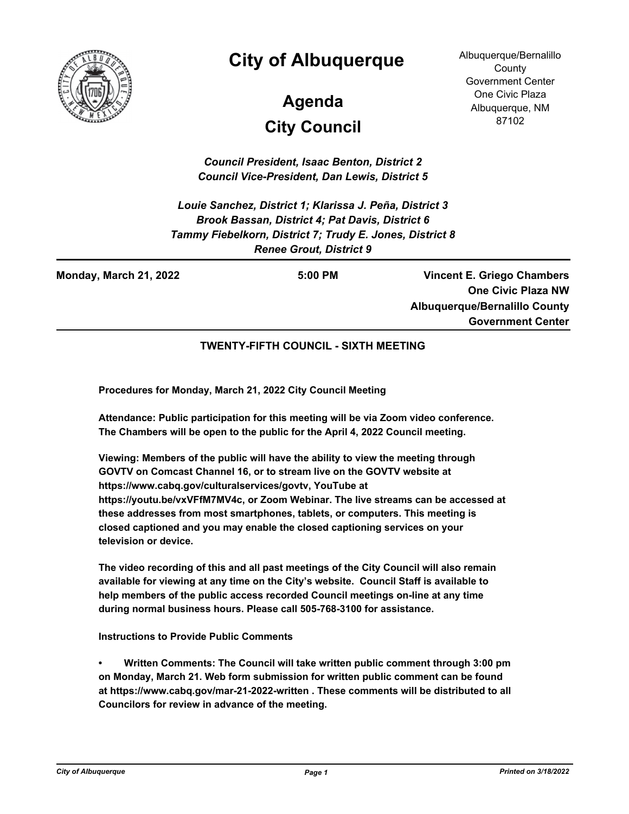

## **City of Albuquerque**

# **City Council Agenda**

Albuquerque/Bernalillo **County** Government Center One Civic Plaza Albuquerque, NM 87102

*Council President, Isaac Benton, District 2 Council Vice-President, Dan Lewis, District 5*

*Louie Sanchez, District 1; Klarissa J. Peña, District 3 Brook Bassan, District 4; Pat Davis, District 6 Tammy Fiebelkorn, District 7; Trudy E. Jones, District 8 Renee Grout, District 9*

**Monday, March 21, 2022 5:00 PM**

**Vincent E. Griego Chambers One Civic Plaza NW Albuquerque/Bernalillo County Government Center**

**TWENTY-FIFTH COUNCIL - SIXTH MEETING**

**Procedures for Monday, March 21, 2022 City Council Meeting**

**Attendance: Public participation for this meeting will be via Zoom video conference. The Chambers will be open to the public for the April 4, 2022 Council meeting.**

**Viewing: Members of the public will have the ability to view the meeting through GOVTV on Comcast Channel 16, or to stream live on the GOVTV website at https://www.cabq.gov/culturalservices/govtv, YouTube at https://youtu.be/vxVFfM7MV4c, or Zoom Webinar. The live streams can be accessed at these addresses from most smartphones, tablets, or computers. This meeting is closed captioned and you may enable the closed captioning services on your television or device.**

**The video recording of this and all past meetings of the City Council will also remain available for viewing at any time on the City's website. Council Staff is available to help members of the public access recorded Council meetings on-line at any time during normal business hours. Please call 505-768-3100 for assistance.**

**Instructions to Provide Public Comments**

**• Written Comments: The Council will take written public comment through 3:00 pm on Monday, March 21. Web form submission for written public comment can be found at https://www.cabq.gov/mar-21-2022-written . These comments will be distributed to all Councilors for review in advance of the meeting.**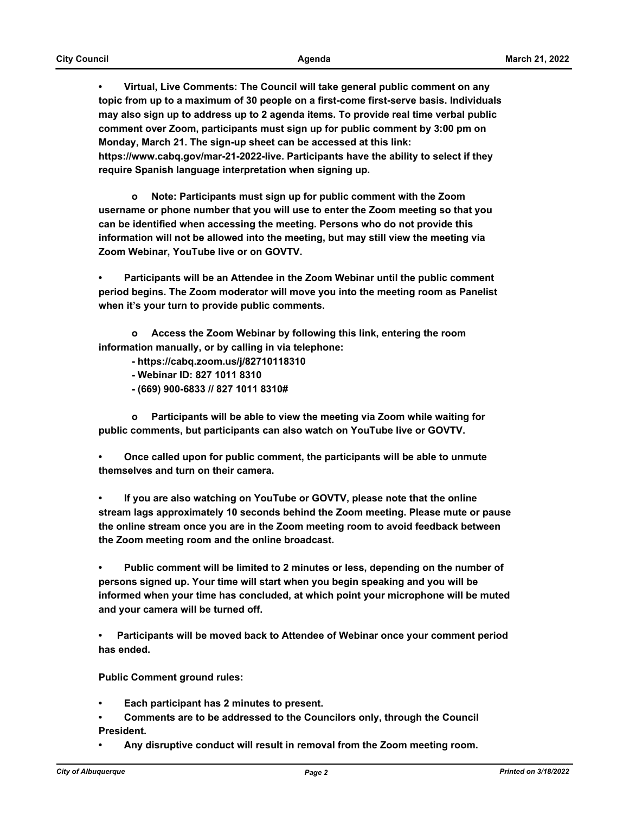**• Virtual, Live Comments: The Council will take general public comment on any topic from up to a maximum of 30 people on a first-come first-serve basis. Individuals may also sign up to address up to 2 agenda items. To provide real time verbal public comment over Zoom, participants must sign up for public comment by 3:00 pm on Monday, March 21. The sign-up sheet can be accessed at this link: https://www.cabq.gov/mar-21-2022-live. Participants have the ability to select if they require Spanish language interpretation when signing up.**

 **o Note: Participants must sign up for public comment with the Zoom username or phone number that you will use to enter the Zoom meeting so that you can be identified when accessing the meeting. Persons who do not provide this information will not be allowed into the meeting, but may still view the meeting via Zoom Webinar, YouTube live or on GOVTV.**

**• Participants will be an Attendee in the Zoom Webinar until the public comment period begins. The Zoom moderator will move you into the meeting room as Panelist when it's your turn to provide public comments.** 

 **o Access the Zoom Webinar by following this link, entering the room information manually, or by calling in via telephone:** 

- **https://cabq.zoom.us/j/82710118310**
- **Webinar ID: 827 1011 8310**
- **(669) 900-6833 // 827 1011 8310#**

 **o Participants will be able to view the meeting via Zoom while waiting for public comments, but participants can also watch on YouTube live or GOVTV.**

**• Once called upon for public comment, the participants will be able to unmute themselves and turn on their camera.**

**• If you are also watching on YouTube or GOVTV, please note that the online stream lags approximately 10 seconds behind the Zoom meeting. Please mute or pause the online stream once you are in the Zoom meeting room to avoid feedback between the Zoom meeting room and the online broadcast.**

**• Public comment will be limited to 2 minutes or less, depending on the number of persons signed up. Your time will start when you begin speaking and you will be informed when your time has concluded, at which point your microphone will be muted and your camera will be turned off.**

**• Participants will be moved back to Attendee of Webinar once your comment period has ended.**

**Public Comment ground rules:**

- **Each participant has 2 minutes to present.**
- **Comments are to be addressed to the Councilors only, through the Council President.**
- **Any disruptive conduct will result in removal from the Zoom meeting room.**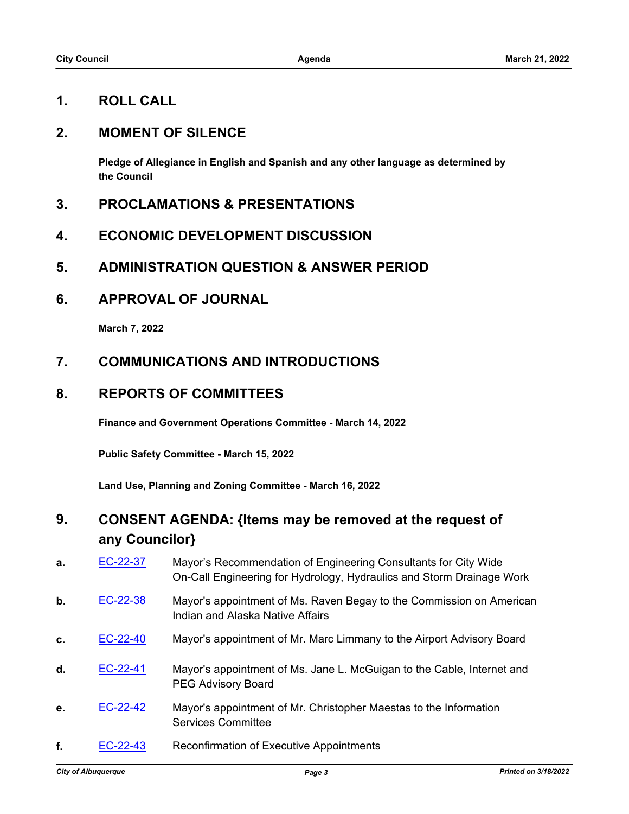#### **1. ROLL CALL**

#### **2. MOMENT OF SILENCE**

**Pledge of Allegiance in English and Spanish and any other language as determined by the Council**

- **3. PROCLAMATIONS & PRESENTATIONS**
- **4. ECONOMIC DEVELOPMENT DISCUSSION**
- **5. ADMINISTRATION QUESTION & ANSWER PERIOD**
- **6. APPROVAL OF JOURNAL**

**March 7, 2022**

#### **7. COMMUNICATIONS AND INTRODUCTIONS**

#### **8. REPORTS OF COMMITTEES**

**Finance and Government Operations Committee - March 14, 2022**

**Public Safety Committee - March 15, 2022**

**Land Use, Planning and Zoning Committee - March 16, 2022**

### **9. CONSENT AGENDA: {Items may be removed at the request of any Councilor}**

| a. | EC-22-37   | Mayor's Recommendation of Engineering Consultants for City Wide<br>On-Call Engineering for Hydrology, Hydraulics and Storm Drainage Work |
|----|------------|------------------------------------------------------------------------------------------------------------------------------------------|
| b. | EC-22-38   | Mayor's appointment of Ms. Raven Begay to the Commission on American<br>Indian and Alaska Native Affairs                                 |
| C. | EC-22-40   | Mayor's appointment of Mr. Marc Limmany to the Airport Advisory Board                                                                    |
| d. | EC-22-41   | Mayor's appointment of Ms. Jane L. McGuigan to the Cable, Internet and<br><b>PEG Advisory Board</b>                                      |
| е. | EC-22-42   | Mayor's appointment of Mr. Christopher Maestas to the Information<br><b>Services Committee</b>                                           |
| f. | $EC-22-43$ | <b>Reconfirmation of Executive Appointments</b>                                                                                          |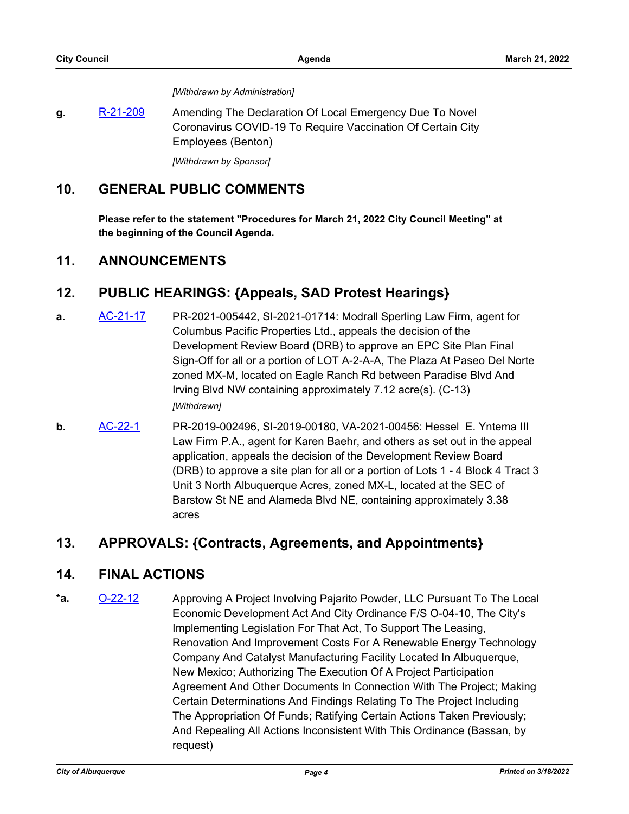*[Withdrawn by Administration]*

g. [R-21-209](http://cabq.legistar.com/gateway.aspx?m=l&id=/matter.aspx?key=12677) Amending The Declaration Of Local Emergency Due To Novel Coronavirus COVID-19 To Require Vaccination Of Certain City Employees (Benton)

*[Withdrawn by Sponsor]*

#### **10. GENERAL PUBLIC COMMENTS**

**Please refer to the statement "Procedures for March 21, 2022 City Council Meeting" at the beginning of the Council Agenda.**

#### **11. ANNOUNCEMENTS**

#### **12. PUBLIC HEARINGS: {Appeals, SAD Protest Hearings}**

- **a.** [AC-21-17](http://cabq.legistar.com/gateway.aspx?m=l&id=/matter.aspx?key=12763) PR-2021-005442, SI-2021-01714: Modrall Sperling Law Firm, agent for Columbus Pacific Properties Ltd., appeals the decision of the Development Review Board (DRB) to approve an EPC Site Plan Final Sign-Off for all or a portion of LOT A-2-A-A, The Plaza At Paseo Del Norte zoned MX-M, located on Eagle Ranch Rd between Paradise Blvd And Irving Blvd NW containing approximately 7.12 acre(s). (C-13) *[Withdrawn]*
- **b.** [AC-22-1](http://cabq.legistar.com/gateway.aspx?m=l&id=/matter.aspx?key=12802) PR-2019-002496, SI-2019-00180, VA-2021-00456: Hessel E. Yntema III Law Firm P.A., agent for Karen Baehr, and others as set out in the appeal application, appeals the decision of the Development Review Board (DRB) to approve a site plan for all or a portion of Lots 1 - 4 Block 4 Tract 3 Unit 3 North Albuquerque Acres, zoned MX-L, located at the SEC of Barstow St NE and Alameda Blvd NE, containing approximately 3.38 acres

#### **13. APPROVALS: {Contracts, Agreements, and Appointments}**

#### **14. FINAL ACTIONS**

\*a. **[O-22-12](http://cabq.legistar.com/gateway.aspx?m=l&id=/matter.aspx?key=12835)** Approving A Project Involving Pajarito Powder, LLC Pursuant To The Local Economic Development Act And City Ordinance F/S O-04-10, The City's Implementing Legislation For That Act, To Support The Leasing, Renovation And Improvement Costs For A Renewable Energy Technology Company And Catalyst Manufacturing Facility Located In Albuquerque, New Mexico; Authorizing The Execution Of A Project Participation Agreement And Other Documents In Connection With The Project; Making Certain Determinations And Findings Relating To The Project Including The Appropriation Of Funds; Ratifying Certain Actions Taken Previously; And Repealing All Actions Inconsistent With This Ordinance (Bassan, by request)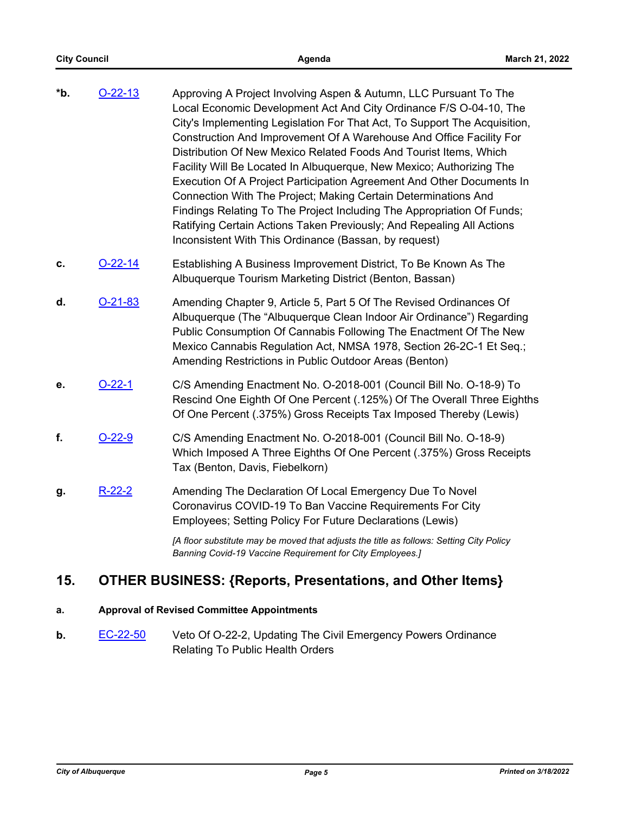- **\*b.** [O-22-13](http://cabq.legistar.com/gateway.aspx?m=l&id=/matter.aspx?key=12837) Approving A Project Involving Aspen & Autumn, LLC Pursuant To The Local Economic Development Act And City Ordinance F/S O-04-10, The City's Implementing Legislation For That Act, To Support The Acquisition, Construction And Improvement Of A Warehouse And Office Facility For Distribution Of New Mexico Related Foods And Tourist Items, Which Facility Will Be Located In Albuquerque, New Mexico; Authorizing The Execution Of A Project Participation Agreement And Other Documents In Connection With The Project; Making Certain Determinations And Findings Relating To The Project Including The Appropriation Of Funds; Ratifying Certain Actions Taken Previously; And Repealing All Actions Inconsistent With This Ordinance (Bassan, by request)
- **c. [O-22-14](http://cabq.legistar.com/gateway.aspx?m=l&id=/matter.aspx?key=12841)** Establishing A Business Improvement District, To Be Known As The Albuquerque Tourism Marketing District (Benton, Bassan)
- **d.** [O-21-83](http://cabq.legistar.com/gateway.aspx?m=l&id=/matter.aspx?key=12719) Amending Chapter 9, Article 5, Part 5 Of The Revised Ordinances Of Albuquerque (The "Albuquerque Clean Indoor Air Ordinance") Regarding Public Consumption Of Cannabis Following The Enactment Of The New Mexico Cannabis Regulation Act, NMSA 1978, Section 26-2C-1 Et Seq.; Amending Restrictions in Public Outdoor Areas (Benton)
- **e.** [O-22-1](http://cabq.legistar.com/gateway.aspx?m=l&id=/matter.aspx?key=12766) C/S Amending Enactment No. O-2018-001 (Council Bill No. O-18-9) To Rescind One Eighth Of One Percent (.125%) Of The Overall Three Eighths Of One Percent (.375%) Gross Receipts Tax Imposed Thereby (Lewis)
- **f.** [O-22-9](http://cabq.legistar.com/gateway.aspx?m=l&id=/matter.aspx?key=12800) C/S Amending Enactment No. O-2018-001 (Council Bill No. O-18-9) Which Imposed A Three Eighths Of One Percent (.375%) Gross Receipts Tax (Benton, Davis, Fiebelkorn)
- g. [R-22-2](http://cabq.legistar.com/gateway.aspx?m=l&id=/matter.aspx?key=12768) Amending The Declaration Of Local Emergency Due To Novel Coronavirus COVID-19 To Ban Vaccine Requirements For City Employees; Setting Policy For Future Declarations (Lewis)

*[A floor substitute may be moved that adjusts the title as follows: Setting City Policy Banning Covid-19 Vaccine Requirement for City Employees.]*

#### **15. OTHER BUSINESS: {Reports, Presentations, and Other Items}**

#### **a. Approval of Revised Committee Appointments**

**b.** [EC-22-50](http://cabq.legistar.com/gateway.aspx?m=l&id=/matter.aspx?key=12849) Veto Of O-22-2, Updating The Civil Emergency Powers Ordinance Relating To Public Health Orders